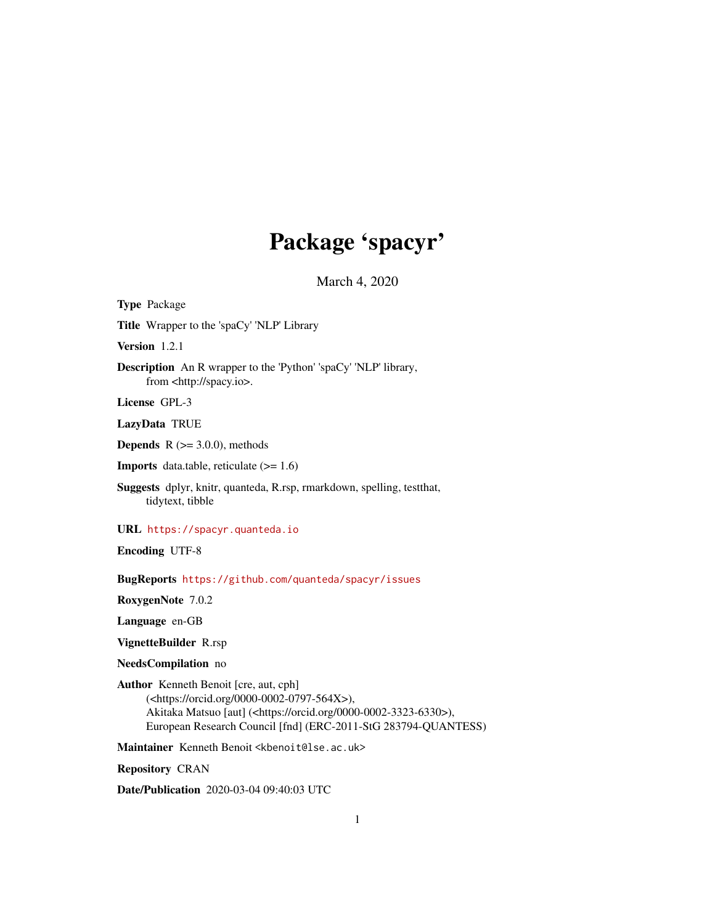## Package 'spacyr'

March 4, 2020

Type Package Title Wrapper to the 'spaCy' 'NLP' Library Version 1.2.1 Description An R wrapper to the 'Python' 'spaCy' 'NLP' library, from <http://spacy.io>. License GPL-3 LazyData TRUE **Depends**  $R$  ( $>= 3.0.0$ ), methods **Imports** data.table, reticulate  $(>= 1.6)$ Suggests dplyr, knitr, quanteda, R.rsp, rmarkdown, spelling, testthat, tidytext, tibble URL <https://spacyr.quanteda.io> Encoding UTF-8 BugReports <https://github.com/quanteda/spacyr/issues> RoxygenNote 7.0.2 Language en-GB VignetteBuilder R.rsp NeedsCompilation no Author Kenneth Benoit [cre, aut, cph] (<https://orcid.org/0000-0002-0797-564X>), Akitaka Matsuo [aut] (<https://orcid.org/0000-0002-3323-6330>), European Research Council [fnd] (ERC-2011-StG 283794-QUANTESS) Maintainer Kenneth Benoit <kbenoit@lse.ac.uk> Repository CRAN

Date/Publication 2020-03-04 09:40:03 UTC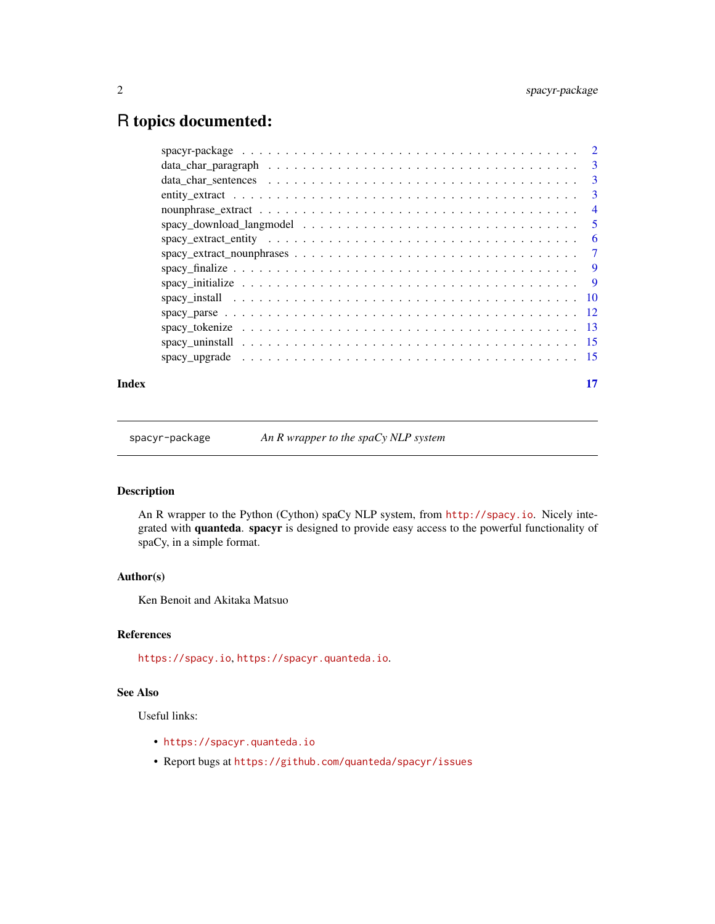### <span id="page-1-0"></span>R topics documented:

| Index | 17 |
|-------|----|
|       |    |
|       |    |
|       |    |
|       |    |
|       |    |
|       |    |
|       |    |
|       |    |
|       |    |
|       |    |
|       |    |
|       |    |
|       |    |
|       |    |
|       |    |

spacyr-package *An R wrapper to the spaCy NLP system*

#### Description

An R wrapper to the Python (Cython) spaCy NLP system, from <http://spacy.io>. Nicely integrated with quanteda. spacyr is designed to provide easy access to the powerful functionality of spaCy, in a simple format.

#### Author(s)

Ken Benoit and Akitaka Matsuo

#### References

<https://spacy.io>, <https://spacyr.quanteda.io>.

#### See Also

Useful links:

- <https://spacyr.quanteda.io>
- Report bugs at <https://github.com/quanteda/spacyr/issues>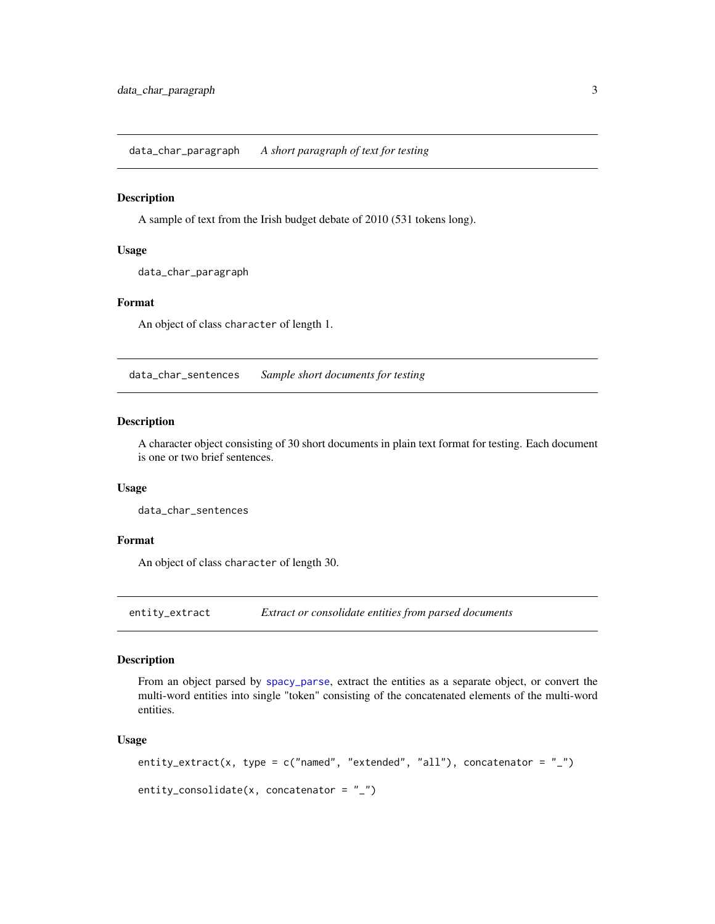<span id="page-2-0"></span>data\_char\_paragraph *A short paragraph of text for testing*

#### Description

A sample of text from the Irish budget debate of 2010 (531 tokens long).

#### Usage

data\_char\_paragraph

#### Format

An object of class character of length 1.

data\_char\_sentences *Sample short documents for testing*

#### Description

A character object consisting of 30 short documents in plain text format for testing. Each document is one or two brief sentences.

#### Usage

data\_char\_sentences

#### Format

An object of class character of length 30.

entity\_extract *Extract or consolidate entities from parsed documents*

#### Description

From an object parsed by [spacy\\_parse](#page-11-1), extract the entities as a separate object, or convert the multi-word entities into single "token" consisting of the concatenated elements of the multi-word entities.

#### Usage

```
entity_extract(x, type = c("named", "extended", "all"), concatenator = "_")
entity_consolidate(x, concatenator = "_")
```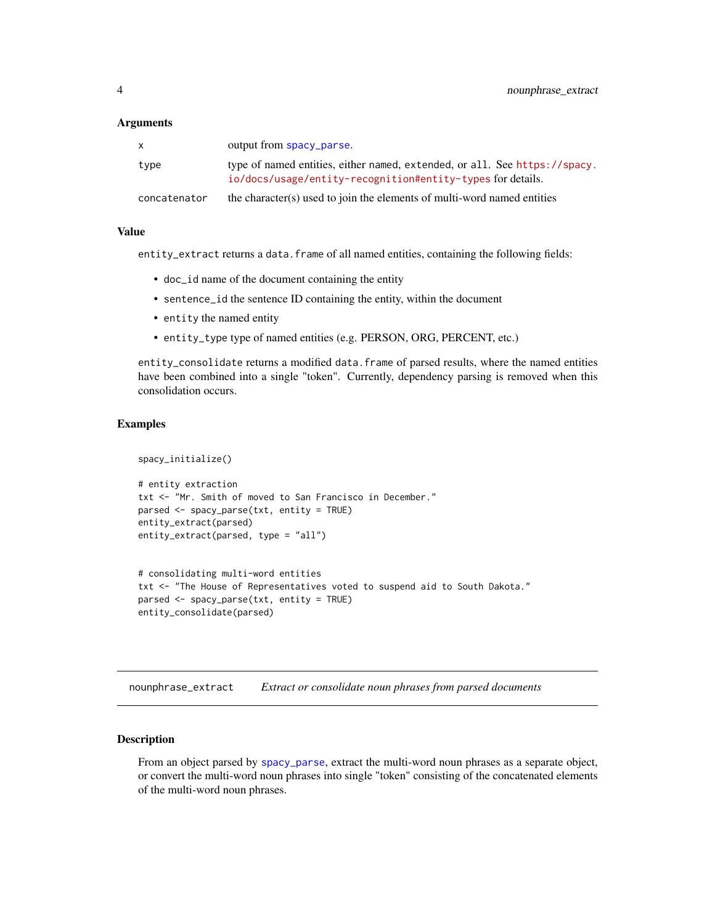#### <span id="page-3-0"></span>**Arguments**

|              | output from spacy_parse.                                                                                                                    |
|--------------|---------------------------------------------------------------------------------------------------------------------------------------------|
| type         | type of named entities, either named, extended, or all. See https://spacy.<br>$i$ o/docs/usage/entity-recognition#entity-types for details. |
| concatenator | the character(s) used to join the elements of multi-word named entities                                                                     |

#### Value

entity\_extract returns a data.frame of all named entities, containing the following fields:

- doc\_id name of the document containing the entity
- sentence\_id the sentence ID containing the entity, within the document
- entity the named entity
- entity\_type type of named entities (e.g. PERSON, ORG, PERCENT, etc.)

entity\_consolidate returns a modified data.frame of parsed results, where the named entities have been combined into a single "token". Currently, dependency parsing is removed when this consolidation occurs.

#### Examples

```
spacy_initialize()
# entity extraction
txt <- "Mr. Smith of moved to San Francisco in December."
parsed <- spacy_parse(txt, entity = TRUE)
entity_extract(parsed)
entity_extract(parsed, type = "all")
# consolidating multi-word entities
txt <- "The House of Representatives voted to suspend aid to South Dakota."
parsed <- spacy_parse(txt, entity = TRUE)
```

```
entity_consolidate(parsed)
```
nounphrase\_extract *Extract or consolidate noun phrases from parsed documents*

#### **Description**

From an object parsed by [spacy\\_parse](#page-11-1), extract the multi-word noun phrases as a separate object, or convert the multi-word noun phrases into single "token" consisting of the concatenated elements of the multi-word noun phrases.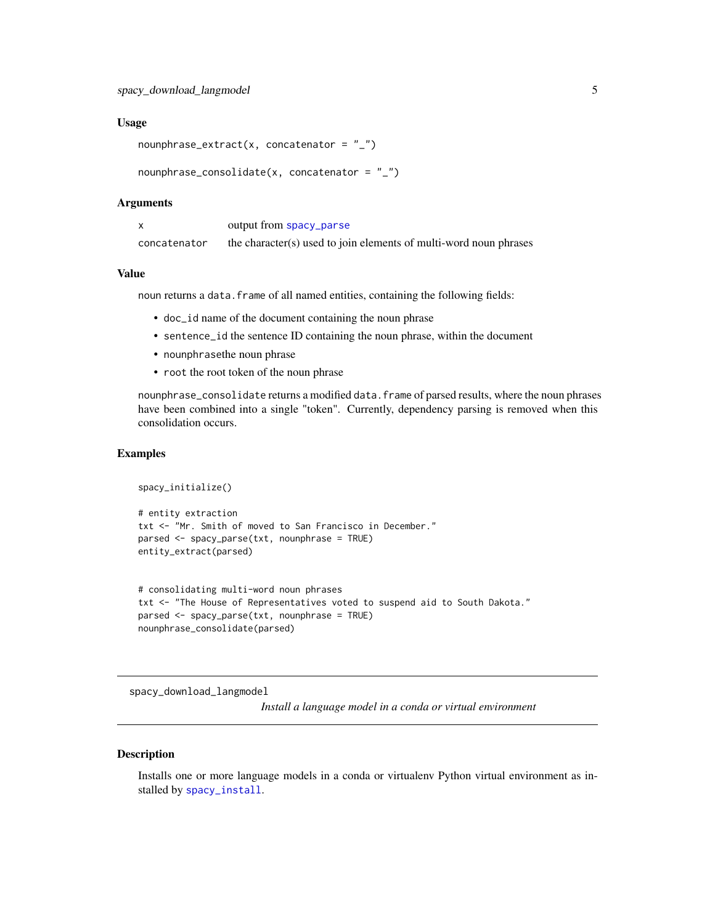```
nounphrase_extract(x, concatenator = "_")
```

```
nounphrase\_consider(x, concatenator = "__")
```
#### Arguments

|              | output from spacy_parse                                           |
|--------------|-------------------------------------------------------------------|
| concatenator | the character(s) used to join elements of multi-word noun phrases |

#### Value

noun returns a data. frame of all named entities, containing the following fields:

- doc\_id name of the document containing the noun phrase
- sentence\_id the sentence ID containing the noun phrase, within the document
- nounphrasethe noun phrase
- root the root token of the noun phrase

nounphrase\_consolidate returns a modified data.frame of parsed results, where the noun phrases have been combined into a single "token". Currently, dependency parsing is removed when this consolidation occurs.

#### Examples

```
spacy_initialize()
# entity extraction
txt <- "Mr. Smith of moved to San Francisco in December."
parsed <- spacy_parse(txt, nounphrase = TRUE)
entity_extract(parsed)
```

```
# consolidating multi-word noun phrases
txt <- "The House of Representatives voted to suspend aid to South Dakota."
parsed <- spacy_parse(txt, nounphrase = TRUE)
nounphrase_consolidate(parsed)
```
spacy\_download\_langmodel

*Install a language model in a conda or virtual environment*

#### Description

Installs one or more language models in a conda or virtualenv Python virtual environment as installed by [spacy\\_install](#page-9-1).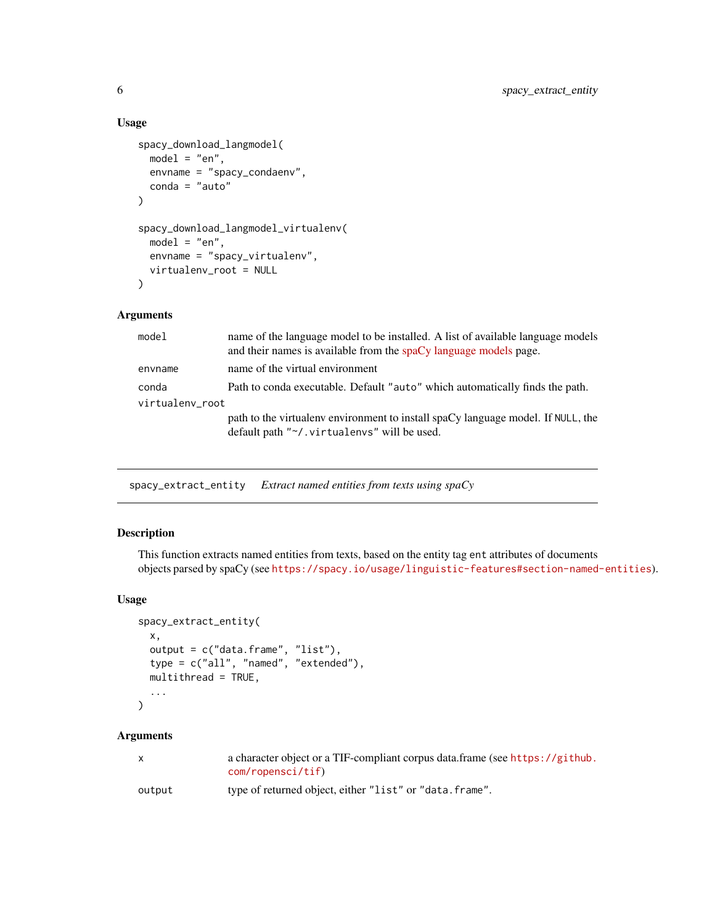```
spacy_download_langmodel(
 model = "en",envname = "spacy_condaenv",
  conda = "auto"
\mathcal{L}spacy_download_langmodel_virtualenv(
  model = "en",envname = "spacy_virtualenv",
  virtualenv_root = NULL
)
```
#### Arguments

| name of the language model to be installed. A list of available language models<br>and their names is available from the spaCy language models page. |
|------------------------------------------------------------------------------------------------------------------------------------------------------|
| name of the virtual environment                                                                                                                      |
| Path to conda executable. Default "auto" which automatically finds the path.                                                                         |
| virtualenv_root                                                                                                                                      |
| path to the virtualenv environment to install spaCy language model. If NULL, the<br>default path "~/.virtualenvs" will be used.                      |
|                                                                                                                                                      |

spacy\_extract\_entity *Extract named entities from texts using spaCy*

#### Description

This function extracts named entities from texts, based on the entity tag ent attributes of documents objects parsed by spaCy (see <https://spacy.io/usage/linguistic-features#section-named-entities>).

#### Usage

```
spacy_extract_entity(
 x,
 output = c("data.frame", "list"),
  type = c("all", "named", "extended"),
 multithread = TRUE,
  ...
\mathcal{L}
```
#### Arguments

| X      | a character object or a TIF-compliant corpus data frame (see https://github.<br>com/ropensci/tif) |
|--------|---------------------------------------------------------------------------------------------------|
| output | type of returned object, either "list" or "data. frame".                                          |

<span id="page-5-0"></span>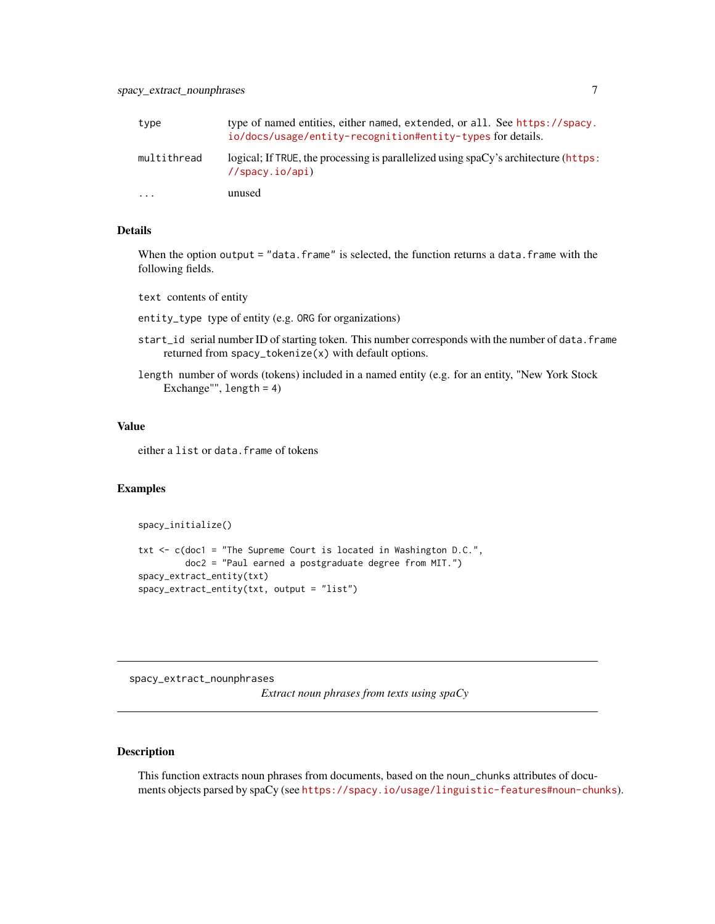<span id="page-6-0"></span>

| type                    | type of named entities, either named, extended, or all. See https://spacy.<br>io/docs/usage/entity-recognition#entity-types for details. |
|-------------------------|------------------------------------------------------------------------------------------------------------------------------------------|
| multithread             | logical; If TRUE, the processing is parallelized using spaCy's architecture (https:<br>//spacy.io/api)                                   |
| $\cdot$ $\cdot$ $\cdot$ | unused                                                                                                                                   |

#### Details

When the option output = "data.frame" is selected, the function returns a data.frame with the following fields.

text contents of entity

entity\_type type of entity (e.g. ORG for organizations)

- start\_id serial number ID of starting token. This number corresponds with the number of data. frame returned from spacy\_tokenize(x) with default options.
- length number of words (tokens) included in a named entity (e.g. for an entity, "New York Stock Exchange"", length = 4)

#### Value

either a list or data. frame of tokens

#### Examples

```
spacy_initialize()
```

```
txt <- c(doc1 = "The Supreme Court is located in Washington D.C.",
        doc2 = "Paul earned a postgraduate degree from MIT.")
spacy_extract_entity(txt)
spacy_extract_entity(txt, output = "list")
```
spacy\_extract\_nounphrases

*Extract noun phrases from texts using spaCy*

#### Description

This function extracts noun phrases from documents, based on the noun\_chunks attributes of documents objects parsed by spaCy (see <https://spacy.io/usage/linguistic-features#noun-chunks>).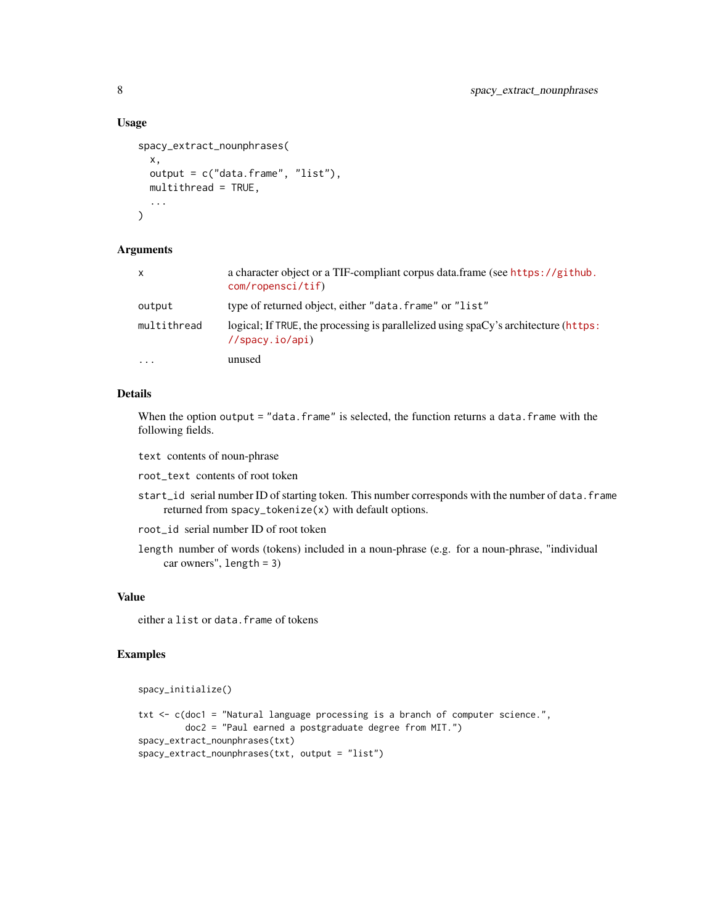```
spacy_extract_nounphrases(
  x,
 output = c("data.frame", "list"),
 multithread = TRUE,
  ...
\lambda
```
#### Arguments

| x           | a character object or a TIF-compliant corpus data.frame (see https://github.<br>com/ropensci/tf)       |
|-------------|--------------------------------------------------------------------------------------------------------|
| output      | type of returned object, either "data, frame" or "list"                                                |
| multithread | logical; If TRUE, the processing is parallelized using spaCy's architecture (https:<br>//spacy.io/api) |
| $\ddotsc$   | unused                                                                                                 |

#### Details

When the option output = "data.frame" is selected, the function returns a data.frame with the following fields.

text contents of noun-phrase

root\_text contents of root token

- start\_id serial number ID of starting token. This number corresponds with the number of data. frame returned from spacy\_tokenize(x) with default options.
- root\_id serial number ID of root token
- length number of words (tokens) included in a noun-phrase (e.g. for a noun-phrase, "individual car owners", length = 3)

#### Value

either a list or data. frame of tokens

#### Examples

```
spacy_initialize()
txt <- c(doc1 = "Natural language processing is a branch of computer science.",
        doc2 = "Paul earned a postgraduate degree from MIT.")
spacy_extract_nounphrases(txt)
spacy_extract_nounphrases(txt, output = "list")
```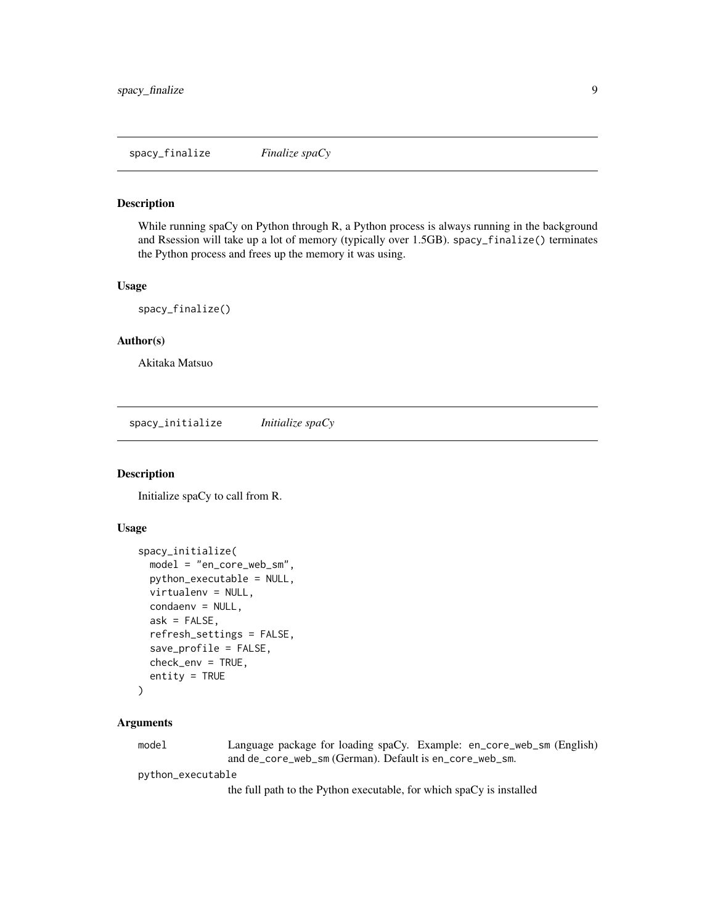<span id="page-8-0"></span>spacy\_finalize *Finalize spaCy*

#### Description

While running spaCy on Python through R, a Python process is always running in the background and Rsession will take up a lot of memory (typically over 1.5GB). spacy\_finalize() terminates the Python process and frees up the memory it was using.

#### Usage

spacy\_finalize()

#### Author(s)

Akitaka Matsuo

spacy\_initialize *Initialize spaCy*

#### Description

Initialize spaCy to call from R.

#### Usage

```
spacy_initialize(
 model = "en_core_web_sm",
 python_executable = NULL,
  virtualenv = NULL,
  condaenv = NULL,ask = FALSE,
  refresh_settings = FALSE,
  save_profile = FALSE,
  check_env = TRUE,
  entity = TRUE
)
```
#### Arguments

model Language package for loading spaCy. Example: en\_core\_web\_sm (English) and de\_core\_web\_sm (German). Default is en\_core\_web\_sm.

python\_executable

the full path to the Python executable, for which spaCy is installed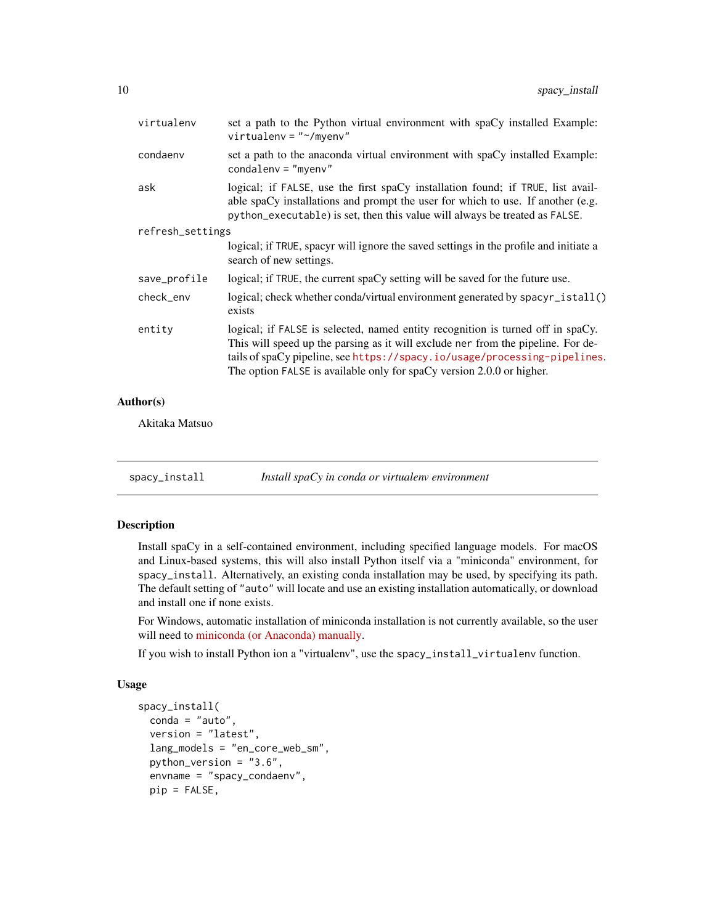<span id="page-9-0"></span>

| set a path to the Python virtual environment with spaCy installed Example:<br>$virtualenv = "~/myenv"$                                                                                                                                                                                                                    |
|---------------------------------------------------------------------------------------------------------------------------------------------------------------------------------------------------------------------------------------------------------------------------------------------------------------------------|
| set a path to the anaconda virtual environment with spaCy installed Example:<br>$condalenv = "myenv"$                                                                                                                                                                                                                     |
| logical; if FALSE, use the first spaCy installation found; if TRUE, list avail-<br>able spaCy installations and prompt the user for which to use. If another (e.g.<br>python_executable) is set, then this value will always be treated as FALSE.                                                                         |
| refresh_settings                                                                                                                                                                                                                                                                                                          |
| logical; if TRUE, spacyr will ignore the saved settings in the profile and initiate a<br>search of new settings.                                                                                                                                                                                                          |
| logical; if TRUE, the current spaCy setting will be saved for the future use.                                                                                                                                                                                                                                             |
| logical; check whether conda/virtual environment generated by spacyr_istall()<br>exists                                                                                                                                                                                                                                   |
| logical; if FALSE is selected, named entity recognition is turned off in spaCy.<br>This will speed up the parsing as it will exclude ner from the pipeline. For de-<br>tails of spaCy pipeline, see https://spacy.io/usage/processing-pipelines.<br>The option FALSE is available only for spaCy version 2.0.0 or higher. |
|                                                                                                                                                                                                                                                                                                                           |

#### Author(s)

Akitaka Matsuo

<span id="page-9-1"></span>spacy\_install *Install spaCy in conda or virtualenv environment*

#### Description

Install spaCy in a self-contained environment, including specified language models. For macOS and Linux-based systems, this will also install Python itself via a "miniconda" environment, for spacy\_install. Alternatively, an existing conda installation may be used, by specifying its path. The default setting of "auto" will locate and use an existing installation automatically, or download and install one if none exists.

For Windows, automatic installation of miniconda installation is not currently available, so the user will need to [miniconda \(or Anaconda\) manually.](https://conda.io/projects/conda/en/latest/user-guide/install/index.html)

If you wish to install Python ion a "virtualenv", use the spacy\_install\_virtualenv function.

#### Usage

```
spacy_install(
  \text{conda} = "auto",version = "latest",
  lang_models = "en_core_web_sm",
 python_version = "3.6",
  envname = "spacy_condaenv",
 pip = FALSE,
```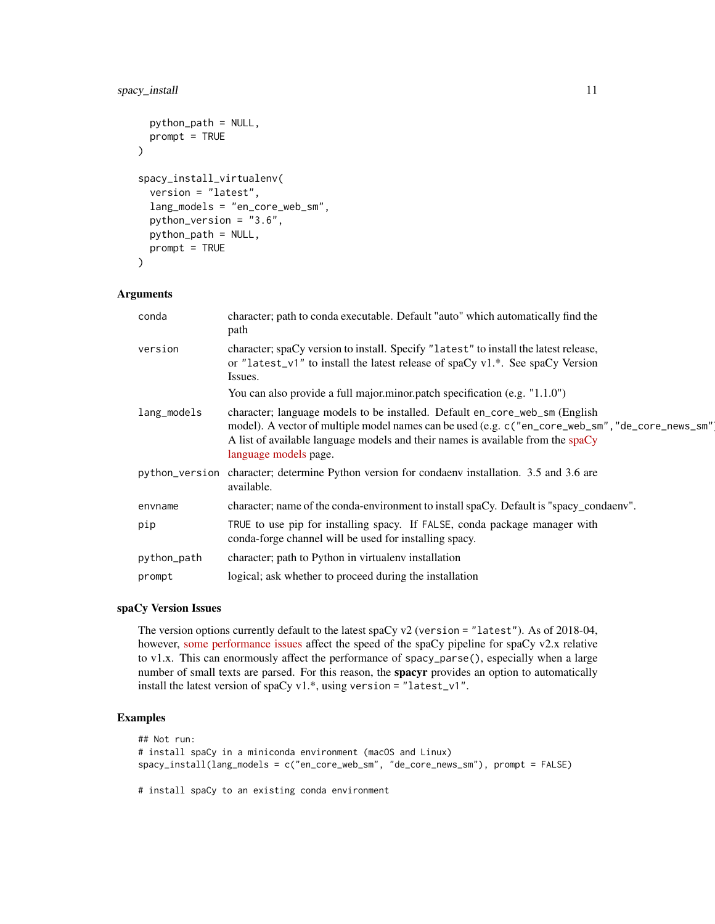#### spacy\_install 11

```
python_path = NULL,
 prompt = TRUE
\lambdaspacy_install_virtualenv(
  version = "latest",
  lang_models = "en_core_web_sm",
 python_version = "3.6",
 python_path = NULL,
 prompt = TRUE
)
```
#### Arguments

| conda       | character; path to conda executable. Default "auto" which automatically find the<br>path                                                                                                                                                                                                     |
|-------------|----------------------------------------------------------------------------------------------------------------------------------------------------------------------------------------------------------------------------------------------------------------------------------------------|
| version     | character; spaCy version to install. Specify "latest" to install the latest release,<br>or "latest_v1" to install the latest release of spaCy v1.*. See spaCy Version<br>Issues.                                                                                                             |
|             | You can also provide a full major minor patch specification (e.g. "1.1.0")                                                                                                                                                                                                                   |
| lang_models | character; language models to be installed. Default en_core_web_sm (English<br>model). A vector of multiple model names can be used (e.g. c ("en_core_web_sm", "de_core_news_sm"<br>A list of available language models and their names is available from the spaCy<br>language models page. |
|             | python_version character; determine Python version for condaenv installation. 3.5 and 3.6 are<br>available.                                                                                                                                                                                  |
| envname     | character; name of the conda-environment to install spaCy. Default is "spacy_condaenv".                                                                                                                                                                                                      |
| pip         | TRUE to use pip for installing spacy. If FALSE, conda package manager with<br>conda-forge channel will be used for installing spacy.                                                                                                                                                         |
| python_path | character; path to Python in virtualeny installation                                                                                                                                                                                                                                         |
| prompt      | logical; ask whether to proceed during the installation                                                                                                                                                                                                                                      |

#### spaCy Version Issues

The version options currently default to the latest spaCy v2 (version = "latest"). As of 2018-04, however, [some performance issues](https://github.com/explosion/spaCy/issues/1508) affect the speed of the spaCy pipeline for spaCy v2.x relative to v1.x. This can enormously affect the performance of spacy\_parse(), especially when a large number of small texts are parsed. For this reason, the **spacyr** provides an option to automatically install the latest version of spaCy v1.\*, using version = "latest\_v1".

#### Examples

```
## Not run:
# install spaCy in a miniconda environment (macOS and Linux)
spacy_install(lang_models = c("en_core_web_sm", "de_core_news_sm"), prompt = FALSE)
```
# install spaCy to an existing conda environment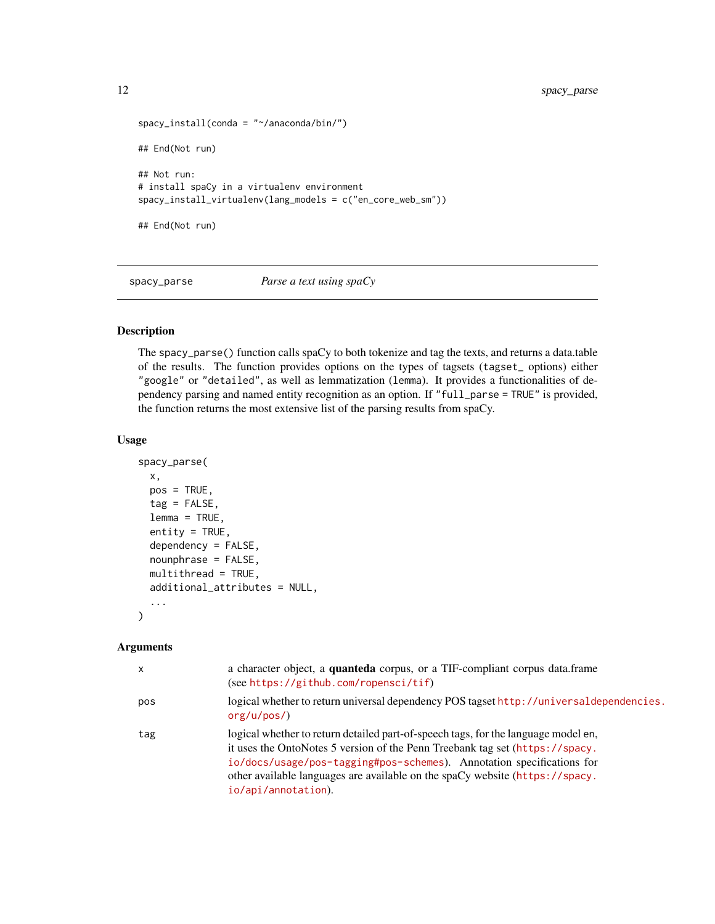```
spacy_install(conda = "~/anaconda/bin/")
## End(Not run)
## Not run:
# install spaCy in a virtualenv environment
spacy_install_virtualenv(lang_models = c("en_core_web_sm"))
## End(Not run)
```
<span id="page-11-1"></span>spacy\_parse *Parse a text using spaCy*

#### Description

The spacy\_parse() function calls spaCy to both tokenize and tag the texts, and returns a data.table of the results. The function provides options on the types of tagsets (tagset\_ options) either "google" or "detailed", as well as lemmatization (lemma). It provides a functionalities of dependency parsing and named entity recognition as an option. If "full\_parse = TRUE" is provided, the function returns the most extensive list of the parsing results from spaCy.

#### Usage

```
spacy_parse(
 x,
 pos = TRUE,tag = FALSE,lemma = TRUE,
 entity = TRUE,dependency = FALSE,
 nounphrase = FALSE,
 multithread = TRUE,
 additional_attributes = NULL,
  ...
)
```
#### Arguments

| $\times$ | a character object, a <b>quanteda</b> corpus, or a TIF-compliant corpus data.frame<br>(see https://github.com/ropensci/tif)                                                                                                                                                                                                                        |
|----------|----------------------------------------------------------------------------------------------------------------------------------------------------------------------------------------------------------------------------------------------------------------------------------------------------------------------------------------------------|
| pos      | logical whether to return universal dependency POS tagset http://universaldependencies.<br>org/u/pos/                                                                                                                                                                                                                                              |
| tag      | logical whether to return detailed part-of-speech tags, for the language model en,<br>it uses the OntoNotes 5 version of the Penn Treebank tag set (https://spacy.<br>io/docs/usage/pos-tagging#pos-schemes). Annotation specifications for<br>other available languages are available on the spaCy website (https://spacy.<br>io/api/annotation). |

<span id="page-11-0"></span>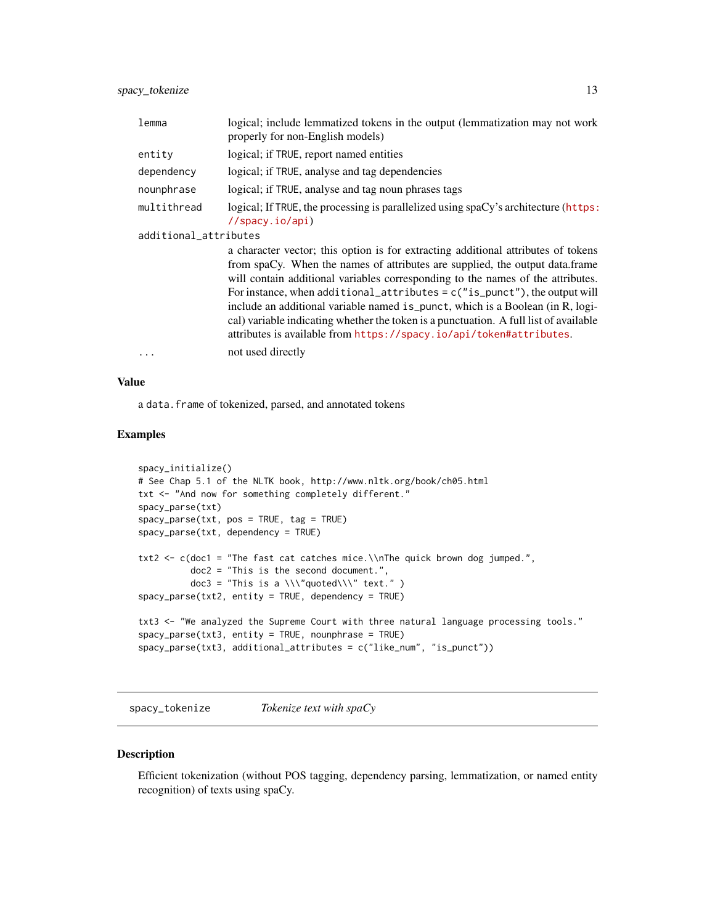<span id="page-12-0"></span>spacy\_tokenize 13

| lemma                 | logical; include lemmatized tokens in the output (lemmatization may not work<br>properly for non-English models)                                                                                                                                                                                                                                                                                                                                                                                                                                                                        |
|-----------------------|-----------------------------------------------------------------------------------------------------------------------------------------------------------------------------------------------------------------------------------------------------------------------------------------------------------------------------------------------------------------------------------------------------------------------------------------------------------------------------------------------------------------------------------------------------------------------------------------|
| entity                | logical; if TRUE, report named entities                                                                                                                                                                                                                                                                                                                                                                                                                                                                                                                                                 |
| dependency            | logical; if TRUE, analyse and tag dependencies                                                                                                                                                                                                                                                                                                                                                                                                                                                                                                                                          |
| nounphrase            | logical; if TRUE, analyse and tag noun phrases tags                                                                                                                                                                                                                                                                                                                                                                                                                                                                                                                                     |
| multithread           | logical; If TRUE, the processing is parallelized using spaCy's architecture (https:<br>$//$ spacy.io/api)                                                                                                                                                                                                                                                                                                                                                                                                                                                                               |
| additional_attributes |                                                                                                                                                                                                                                                                                                                                                                                                                                                                                                                                                                                         |
|                       | a character vector; this option is for extracting additional attributes of tokens<br>from spaCy. When the names of attributes are supplied, the output data.frame<br>will contain additional variables corresponding to the names of the attributes.<br>For instance, when additional_attributes = $c("is\_punct")$ , the output will<br>include an additional variable named is_punct, which is a Boolean (in R, logi-<br>cal) variable indicating whether the token is a punctuation. A full list of available<br>attributes is available from https://spacy.io/api/token#attributes. |
| .                     | not used directly                                                                                                                                                                                                                                                                                                                                                                                                                                                                                                                                                                       |

#### Value

a data.frame of tokenized, parsed, and annotated tokens

#### Examples

```
spacy_initialize()
# See Chap 5.1 of the NLTK book, http://www.nltk.org/book/ch05.html
txt <- "And now for something completely different."
spacy_parse(txt)
spacy_parse(txt, pos = TRUE, tag = TRUE)
spacy_parse(txt, dependency = TRUE)
txt2 <- c(doc1 = "The fast cat catches mice.\\nThe quick brown dog jumped.",
         doc2 = "This is the second document.",
          doc3 = "This is a \\\"quoted\\\" text." )
spacy_parse(txt2, entity = TRUE, dependency = TRUE)
txt3 <- "We analyzed the Supreme Court with three natural language processing tools."
spacy_parse(txt3, entity = TRUE, nounphrase = TRUE)
spacy_parse(txt3, additional_attributes = c("like_num", "is_punct"))
```
spacy\_tokenize *Tokenize text with spaCy*

#### Description

Efficient tokenization (without POS tagging, dependency parsing, lemmatization, or named entity recognition) of texts using spaCy.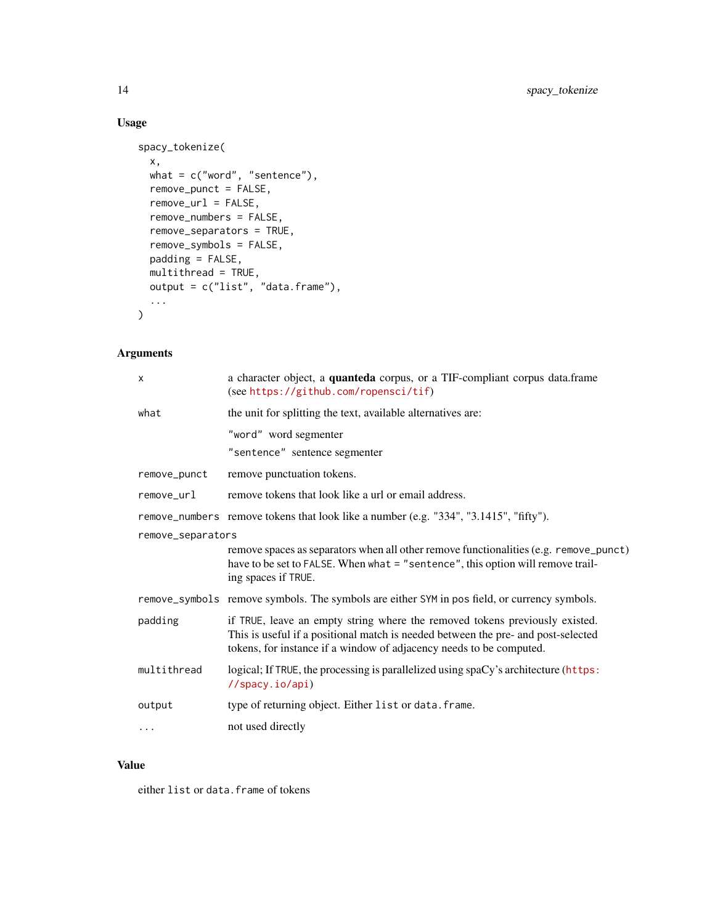```
spacy_tokenize(
 x,
 what = c("word", "sentence"),
 remove_punct = FALSE,
  remove_url = FALSE,
 remove_numbers = FALSE,
 remove_separators = TRUE,
 remove_symbols = FALSE,
 padding = FALSE,
 multithread = TRUE,
 output = c("list", "data.frame"),
  ...
\mathcal{L}
```
#### Arguments

| X                 | a character object, a quanteda corpus, or a TIF-compliant corpus data.frame<br>(see https://github.com/ropensci/tif)                                                                                                                    |
|-------------------|-----------------------------------------------------------------------------------------------------------------------------------------------------------------------------------------------------------------------------------------|
| what              | the unit for splitting the text, available alternatives are:                                                                                                                                                                            |
|                   | "word" word segmenter<br>"sentence" sentence segmenter                                                                                                                                                                                  |
| remove_punct      | remove punctuation tokens.                                                                                                                                                                                                              |
| remove_url        | remove tokens that look like a url or email address.                                                                                                                                                                                    |
|                   | remove_numbers remove tokens that look like a number (e.g. "334", "3.1415", "fifty").                                                                                                                                                   |
| remove_separators |                                                                                                                                                                                                                                         |
|                   | remove spaces as separators when all other remove functionalities (e.g. remove_punct)<br>have to be set to FALSE. When what = "sentence", this option will remove trail-<br>ing spaces if TRUE.                                         |
|                   | remove_symbols remove symbols. The symbols are either SYM in pos field, or currency symbols.                                                                                                                                            |
| padding           | if TRUE, leave an empty string where the removed tokens previously existed.<br>This is useful if a positional match is needed between the pre- and post-selected<br>tokens, for instance if a window of adjacency needs to be computed. |
| multithread       | logical; If TRUE, the processing is parallelized using spaCy's architecture (https:<br>//spacy.io/api)                                                                                                                                  |
| output            | type of returning object. Either list or data. frame.                                                                                                                                                                                   |
| $\cdots$          | not used directly                                                                                                                                                                                                                       |

#### Value

either list or data. frame of tokens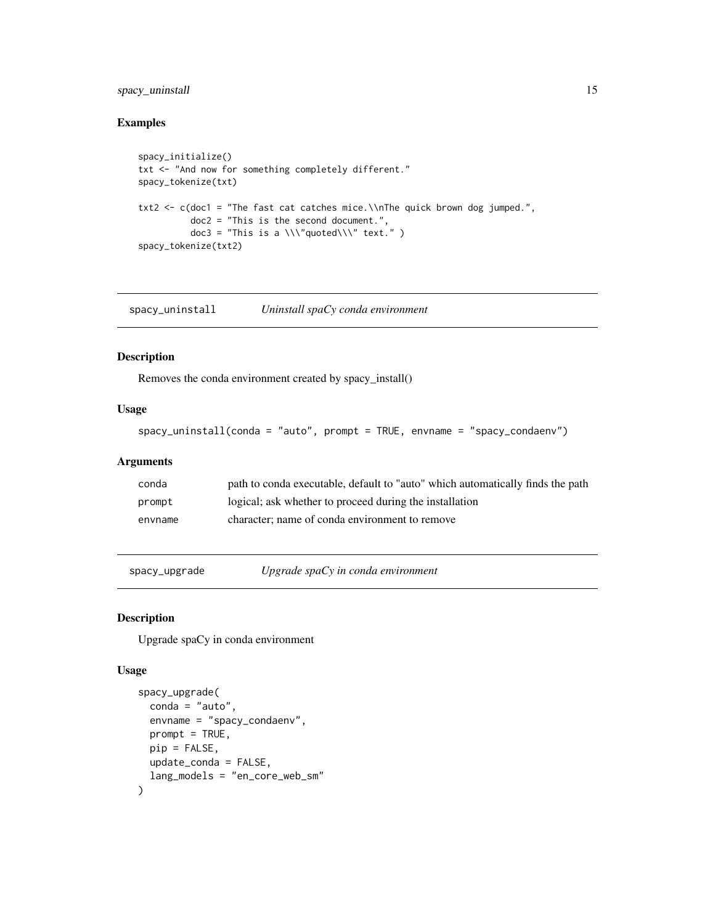#### <span id="page-14-0"></span>spacy\_uninstall 15

#### Examples

```
spacy_initialize()
txt <- "And now for something completely different."
spacy_tokenize(txt)
txt2 <- c(doc1 = "The fast cat catches mice.\\nThe quick brown dog jumped.",
          doc2 = "This is the second document.",
         doc3 = "This is a \...\"quoted\'\" text."spacy_tokenize(txt2)
```
spacy\_uninstall *Uninstall spaCy conda environment*

#### Description

Removes the conda environment created by spacy\_install()

#### Usage

```
spacy_uninstall(conda = "auto", prompt = TRUE, envname = "spacy_condaenv")
```
#### Arguments

| conda   | path to conda executable, default to "auto" which automatically finds the path |
|---------|--------------------------------------------------------------------------------|
| prompt  | logical; ask whether to proceed during the installation                        |
| envname | character: name of conda environment to remove                                 |

spacy\_upgrade *Upgrade spaCy in conda environment*

#### Description

Upgrade spaCy in conda environment

#### Usage

```
spacy_upgrade(
 conda = "auto",
 envname = "spacy_condaenv",
 prompt = TRUE,
 pip = FALSE,
 update_conda = FALSE,
  lang_models = "en_core_web_sm"
\mathcal{E}
```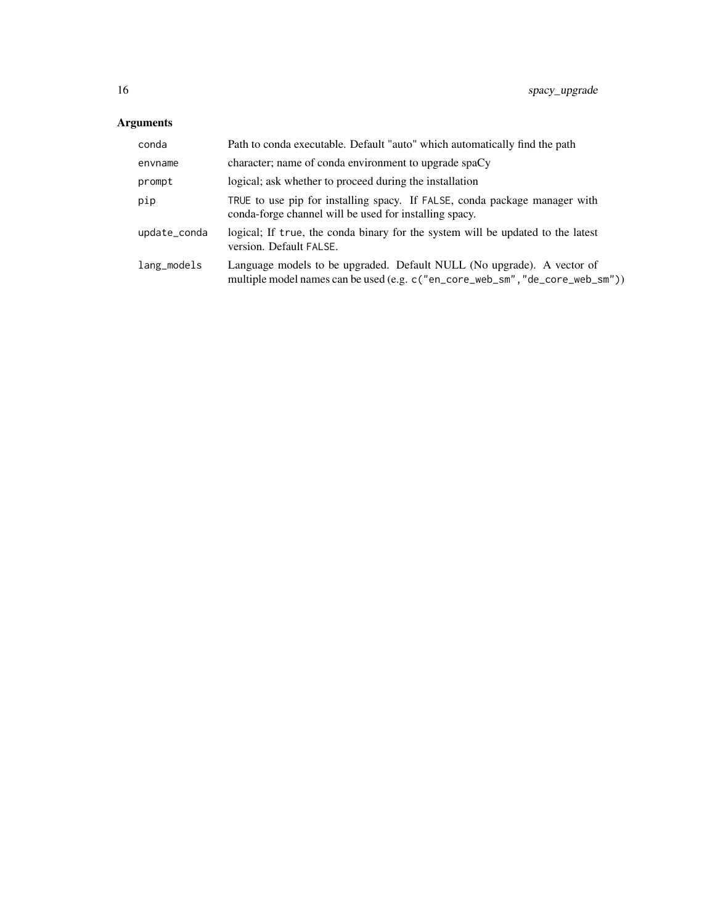#### Arguments

| conda        | Path to conda executable. Default "auto" which automatically find the path                                                                              |
|--------------|---------------------------------------------------------------------------------------------------------------------------------------------------------|
| envname      | character; name of conda environment to upgrade spaCy                                                                                                   |
| prompt       | logical; ask whether to proceed during the installation                                                                                                 |
| pip          | TRUE to use pip for installing spacy. If FALSE, conda package manager with<br>conda-forge channel will be used for installing spacy.                    |
| update_conda | logical; If true, the conda binary for the system will be updated to the latest<br>version. Default FALSE.                                              |
| lang_models  | Language models to be upgraded. Default NULL (No upgrade). A vector of<br>multiple model names can be used (e.g. c("en_core_web_sm", "de_core_web_sm")) |